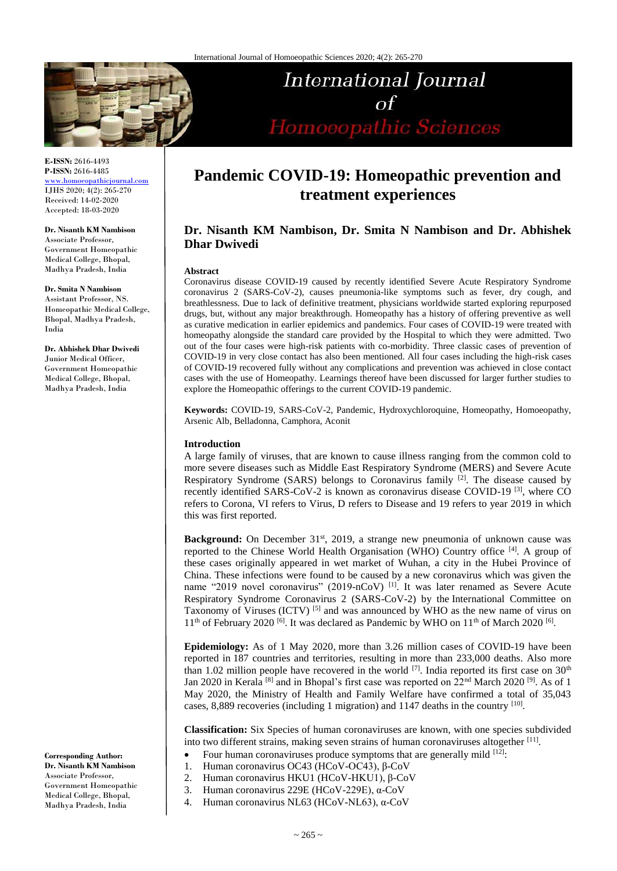

**E-ISSN:** 2616-4493 **P-ISSN:** 2616-4485

[www.homoeopathicjournal.com](http://www.homoeopathicjournal.com/) IJHS 2020; 4(2): 265-270 Received: 14-02-2020 Accepted: 18-03-2020

**Dr. Nisanth KM Nambison** Associate Professor, Government Homeopathic Medical College, Bhopal, Madhya Pradesh, India

**Dr. Smita N Nambison** Assistant Professor, NS. Homeopathic Medical College, Bhopal, Madhya Pradesh, India

**Dr. Abhishek Dhar Dwivedi** Junior Medical Officer, Government Homeopathic Medical College, Bhopal, Madhya Pradesh, India

**Corresponding Author: Dr. Nisanth KM Nambison** Associate Professor, Government Homeopathic Medical College, Bhopal, Madhya Pradesh, India

# **Pandemic COVID-19: Homeopathic prevention and treatment experiences**

International Journal

 $\alpha f$ 

Homoeopathic Sciences

# **Dr. Nisanth KM Nambison, Dr. Smita N Nambison and Dr. Abhishek Dhar Dwivedi**

#### **Abstract**

Coronavirus disease COVID-19 caused by recently identified Severe Acute Respiratory Syndrome coronavirus 2 (SARS-CoV-2), causes pneumonia-like symptoms such as fever, dry cough, and breathlessness. Due to lack of definitive treatment, physicians worldwide started exploring repurposed drugs, but, without any major breakthrough. Homeopathy has a history of offering preventive as well as curative medication in earlier epidemics and pandemics. Four cases of COVID-19 were treated with homeopathy alongside the standard care provided by the Hospital to which they were admitted. Two out of the four cases were high-risk patients with co-morbidity. Three classic cases of prevention of COVID-19 in very close contact has also been mentioned. All four cases including the high-risk cases of COVID-19 recovered fully without any complications and prevention was achieved in close contact cases with the use of Homeopathy. Learnings thereof have been discussed for larger further studies to explore the Homeopathic offerings to the current COVID-19 pandemic.

**Keywords:** COVID-19, SARS-CoV-2, Pandemic, Hydroxychloroquine, Homeopathy, Homoeopathy, Arsenic Alb, Belladonna, Camphora, Aconit

#### **Introduction**

A large family of viruses, that are known to cause illness ranging from the common cold to more severe diseases such as Middle East Respiratory Syndrome (MERS) and Severe Acute Respiratory Syndrome (SARS) belongs to Coronavirus family <sup>[2]</sup>. The disease caused by recently identified SARS-CoV-2 is known as coronavirus disease COVID-19<sup>[3]</sup>, where CO refers to Corona, VI refers to Virus, D refers to Disease and 19 refers to year 2019 in which this was first reported.

Background: On December 31<sup>st</sup>, 2019, a strange new pneumonia of unknown cause was reported to the Chinese World Health Organisation (WHO) Country office [4]. A group of these cases originally appeared in wet market of Wuhan, a city in the Hubei Province of China. These infections were found to be caused by a new coronavirus which was given the name "2019 novel coronavirus" (2019-nCoV)<sup>[1]</sup>. It was later renamed as Severe Acute Respiratory Syndrome Coronavirus 2 (SARS-CoV-2) by the International Committee on Taxonomy of Viruses (ICTV)<sup>[5]</sup> and was announced by WHO as the new name of virus on  $11<sup>th</sup>$  of February 2020 <sup>[6]</sup>. It was declared as Pandemic by WHO on  $11<sup>th</sup>$  of March 2020 <sup>[6]</sup>.

**Epidemiology:** As of 1 May 2020, more than 3.26 million cases of COVID-19 have been reported in 187 countries and territories, resulting in more than 233,000 deaths. Also more than 1.02 million people have recovered in the world  $^{[7]}$ . India reported its first case on 30<sup>th</sup> Jan 2020 in Kerala<sup>[8]</sup> and in Bhopal's first case was reported on 22<sup>nd</sup> March 2020<sup>[9]</sup>. As of 1 May 2020, the Ministry of Health and Family Welfare have confirmed a total of 35,043 cases, 8,889 recoveries (including 1 migration) and 1147 deaths in the country  $[10]$ .

**Classification:** Six Species of human coronaviruses are known, with one species subdivided into two different strains, making seven strains of human coronaviruses altogether [11] .

- Four human coronaviruses produce symptoms that are generally mild  $[12]$ .
- 1. Human coronavirus OC43 (HCoV-OC43), β-CoV
- 2. Human coronavirus HKU1 (HCoV-HKU1), β-CoV
- 3. Human coronavirus 229E (HCoV-229E), α-CoV
- 4. Human coronavirus NL63 (HCoV-NL63), α-CoV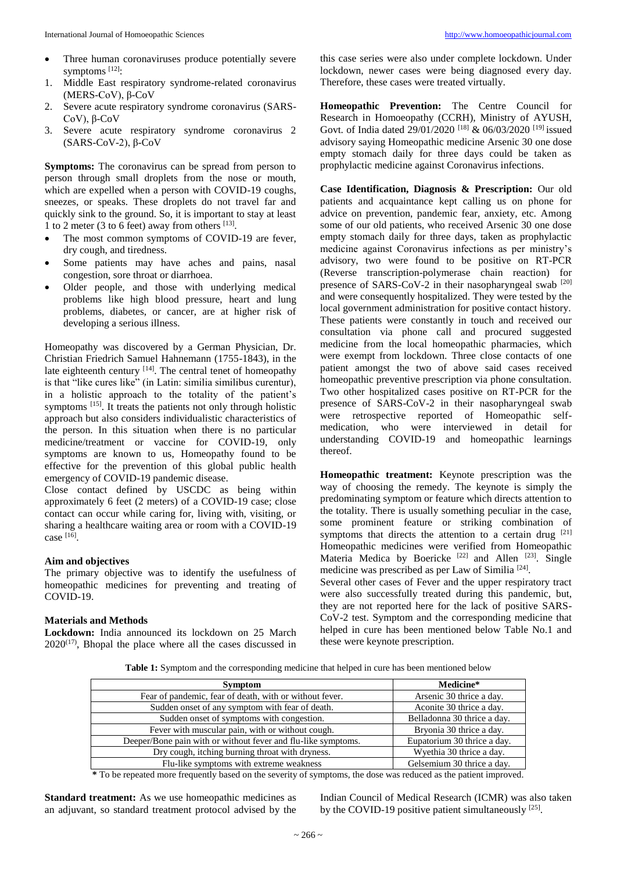- Three human coronaviruses produce potentially severe symptoms<sup>[12]</sup>:
- 1. Middle East respiratory syndrome-related coronavirus (MERS-CoV), β-CoV
- 2. Severe acute respiratory syndrome coronavirus (SARS-CoV), β-CoV
- 3. Severe acute respiratory syndrome coronavirus 2 (SARS-CoV-2), β-CoV

**Symptoms:** The coronavirus can be spread from person to person through small droplets from the nose or mouth, which are expelled when a person with COVID-19 coughs, sneezes, or speaks. These droplets do not travel far and quickly sink to the ground. So, it is important to stay at least 1 to 2 meter (3 to 6 feet) away from others  $^{[13]}$ .

- The most common symptoms of COVID-19 are fever, dry cough, and tiredness.
- Some patients may have aches and pains, nasal congestion, sore throat or diarrhoea.
- Older people, and those with underlying medical problems like high blood pressure, heart and lung problems, diabetes, or cancer, are at higher risk of developing a serious illness.

Homeopathy was discovered by a German Physician, Dr. Christian Friedrich Samuel Hahnemann (1755-1843), in the late eighteenth century [14]. The central tenet of homeopathy is that "like cures like" (in Latin: similia similibus curentur), in a holistic approach to the totality of the patient's symptoms [15]. It treats the patients not only through holistic approach but also considers individualistic characteristics of the person. In this situation when there is no particular medicine/treatment or vaccine for COVID-19, only symptoms are known to us, Homeopathy found to be effective for the prevention of this global public health emergency of COVID-19 pandemic disease.

Close contact defined by USCDC as being within approximately 6 feet (2 meters) of a COVID-19 case; close contact can occur while caring for, living with, visiting, or sharing a healthcare waiting area or room with a COVID-19 case [16] .

## **Aim and objectives**

The primary objective was to identify the usefulness of homeopathic medicines for preventing and treating of COVID-19.

#### **Materials and Methods**

**Lockdown:** India announced its lockdown on 25 March  $2020^{(17)}$ , Bhopal the place where all the cases discussed in this case series were also under complete lockdown. Under lockdown, newer cases were being diagnosed every day. Therefore, these cases were treated virtually.

**Homeopathic Prevention:** The Centre Council for Research in Homoeopathy (CCRH), Ministry of AYUSH, Govt. of India dated 29/01/2020<sup>[18]</sup> & 06/03/2020<sup>[19]</sup> issued advisory saying Homeopathic medicine Arsenic 30 one dose empty stomach daily for three days could be taken as prophylactic medicine against Coronavirus infections.

**Case Identification, Diagnosis & Prescription:** Our old patients and acquaintance kept calling us on phone for advice on prevention, pandemic fear, anxiety, etc. Among some of our old patients, who received Arsenic 30 one dose empty stomach daily for three days, taken as prophylactic medicine against Coronavirus infections as per ministry's advisory, two were found to be positive on RT-PCR (Reverse transcription-polymerase chain reaction) for presence of SARS-CoV-2 in their nasopharyngeal swab  $[20]$ and were consequently hospitalized. They were tested by the local government administration for positive contact history. These patients were constantly in touch and received our consultation via phone call and procured suggested medicine from the local homeopathic pharmacies, which were exempt from lockdown. Three close contacts of one patient amongst the two of above said cases received homeopathic preventive prescription via phone consultation. Two other hospitalized cases positive on RT-PCR for the presence of SARS-CoV-2 in their nasopharyngeal swab were retrospective reported of Homeopathic selfmedication, who were interviewed in detail for understanding COVID-19 and homeopathic learnings thereof.

**Homeopathic treatment:** Keynote prescription was the way of choosing the remedy. The keynote is simply the predominating symptom or feature which directs attention to the totality. There is usually something peculiar in the case, some prominent feature or striking combination of symptoms that directs the attention to a certain drug  $[21]$ Homeopathic medicines were verified from Homeopathic Materia Medica by Boericke<sup>[22]</sup> and Allen<sup>[23]</sup>. Single medicine was prescribed as per Law of Similia<sup>[24]</sup>.

Several other cases of Fever and the upper respiratory tract were also successfully treated during this pandemic, but, they are not reported here for the lack of positive SARS-CoV-2 test. Symptom and the corresponding medicine that helped in cure has been mentioned below Table No.1 and these were keynote prescription.

**Table 1:** Symptom and the corresponding medicine that helped in cure has been mentioned below

| <b>Symptom</b>                                                | Medicine*                   |
|---------------------------------------------------------------|-----------------------------|
| Fear of pandemic, fear of death, with or without fever.       | Arsenic 30 thrice a day.    |
| Sudden onset of any symptom with fear of death.               | Aconite 30 thrice a day.    |
| Sudden onset of symptoms with congestion.                     | Belladonna 30 thrice a day. |
| Fever with muscular pain, with or without cough.              | Bryonia 30 thrice a day.    |
| Deeper/Bone pain with or without fever and flu-like symptoms. | Eupatorium 30 thrice a day. |
| Dry cough, itching burning throat with dryness.               | Wyethia 30 thrice a day.    |
| Flu-like symptoms with extreme weakness                       | Gelsemium 30 thrice a day.  |

**\*** To be repeated more frequently based on the severity of symptoms, the dose was reduced as the patient improved.

**Standard treatment:** As we use homeopathic medicines as an adjuvant, so standard treatment protocol advised by the Indian Council of Medical Research (ICMR) was also taken by the COVID-19 positive patient simultaneously  $^{[25]}$ .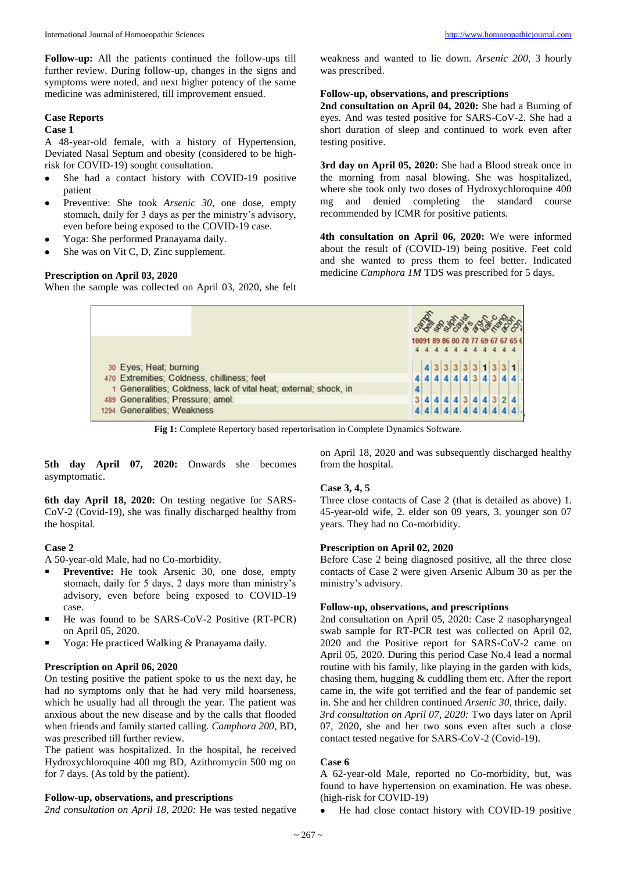**Follow-up:** All the patients continued the follow-ups till further review. During follow-up, changes in the signs and symptoms were noted, and next higher potency of the same medicine was administered, till improvement ensued.

## **Case Reports**

## **Case 1**

A 48-year-old female, with a history of Hypertension, Deviated Nasal Septum and obesity (considered to be highrisk for COVID-19) sought consultation.

- She had a contact history with COVID-19 positive patient
- Preventive: She took *Arsenic 30*, one dose, empty stomach, daily for 3 days as per the ministry's advisory, even before being exposed to the COVID-19 case.
- Yoga: She performed Pranayama daily.
- She was on Vit C, D, Zinc supplement.

## **Prescription on April 03, 2020**

When the sample was collected on April 03, 2020, she felt

weakness and wanted to lie down. *Arsenic 200,* 3 hourly was prescribed.

#### **Follow-up, observations, and prescriptions**

**2nd consultation on April 04, 2020:** She had a Burning of eyes. And was tested positive for SARS-CoV-2. She had a short duration of sleep and continued to work even after testing positive.

**3rd day on April 05, 2020:** She had a Blood streak once in the morning from nasal blowing. She was hospitalized, where she took only two doses of Hydroxychloroquine 400 mg and denied completing the standard course recommended by ICMR for positive patients.

**4th consultation on April 06, 2020:** We were informed about the result of (COVID-19) being positive. Feet cold and she wanted to press them to feel better. Indicated medicine *Camphora 1M* TDS was prescribed for 5 days.

|                                                                                                                  |  | 44444444444 |  |  |           |  | <b>ABB 300 000 000</b><br>10091 89 86 80 78 77 69 67 67 65 6 |
|------------------------------------------------------------------------------------------------------------------|--|-------------|--|--|-----------|--|--------------------------------------------------------------|
| 30 Eyes; Heat; burning                                                                                           |  |             |  |  |           |  |                                                              |
| 470 Extremities; Coldness, chilliness; feet<br>1 Generalities; Coldness, lack of vital heat; external; shock, in |  |             |  |  |           |  |                                                              |
| 489 Generalities: Pressure: amel.                                                                                |  |             |  |  | 444344324 |  |                                                              |
| 1294 Generalities; Weakness                                                                                      |  | 4444444     |  |  |           |  |                                                              |

**Fig 1:** Complete Repertory based repertorisation in Complete Dynamics Software.

**5th day April 07, 2020:** Onwards she becomes asymptomatic.

**6th day April 18, 2020:** On testing negative for SARS-CoV-2 (Covid-19), she was finally discharged healthy from the hospital.

# **Case 2**

A 50-year-old Male, had no Co-morbidity.

- **Preventive:** He took Arsenic 30, one dose, empty stomach, daily for 5 days, 2 days more than ministry's advisory, even before being exposed to COVID-19 case.
- He was found to be SARS-CoV-2 Positive (RT-PCR) on April 05, 2020.
- Yoga: He practiced Walking & Pranayama daily.

# **Prescription on April 06, 2020**

On testing positive the patient spoke to us the next day, he had no symptoms only that he had very mild hoarseness, which he usually had all through the year. The patient was anxious about the new disease and by the calls that flooded when friends and family started calling. *Camphora 200*, BD, was prescribed till further review.

The patient was hospitalized. In the hospital, he received Hydroxychloroquine 400 mg BD, Azithromycin 500 mg on for 7 days. (As told by the patient).

# **Follow-up, observations, and prescriptions**

*2nd consultation on April 18, 2020:* He was tested negative

on April 18, 2020 and was subsequently discharged healthy from the hospital.

# **Case 3, 4, 5**

Three close contacts of Case 2 (that is detailed as above) 1. 45-year-old wife, 2. elder son 09 years, 3. younger son 07 years. They had no Co-morbidity.

#### **Prescription on April 02, 2020**

Before Case 2 being diagnosed positive, all the three close contacts of Case 2 were given Arsenic Album 30 as per the ministry's advisory.

## **Follow-up, observations, and prescriptions**

2nd consultation on April 05, 2020: Case 2 nasopharyngeal swab sample for RT-PCR test was collected on April 02, 2020 and the Positive report for SARS-CoV-2 came on April 05, 2020. During this period Case No.4 lead a normal routine with his family, like playing in the garden with kids, chasing them, hugging & cuddling them etc. After the report came in, the wife got terrified and the fear of pandemic set in. She and her children continued *Arsenic 30*, thrice, daily. *3rd consultation on April 07, 2020:* Two days later on April 07, 2020, she and her two sons even after such a close contact tested negative for SARS-CoV-2 (Covid-19).

# **Case 6**

A 62-year-old Male, reported no Co-morbidity, but, was found to have hypertension on examination. He was obese. (high-risk for COVID-19)

• He had close contact history with COVID-19 positive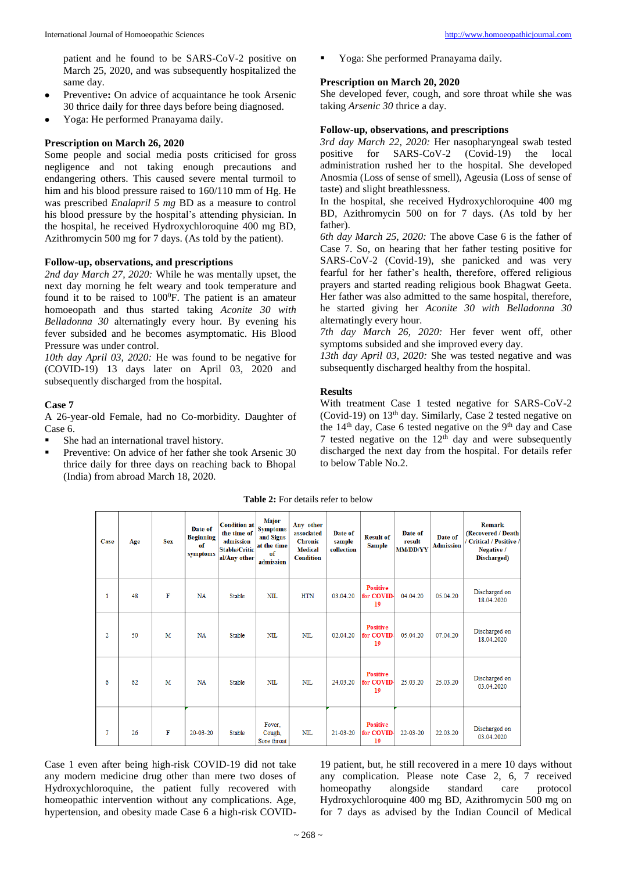patient and he found to be SARS-CoV-2 positive on March 25, 2020, and was subsequently hospitalized the same day.

- Preventive**:** On advice of acquaintance he took Arsenic 30 thrice daily for three days before being diagnosed.
- Yoga: He performed Pranayama daily.

#### **Prescription on March 26, 2020**

Some people and social media posts criticised for gross negligence and not taking enough precautions and endangering others. This caused severe mental turmoil to him and his blood pressure raised to 160/110 mm of Hg. He was prescribed *Enalapril 5 mg* BD as a measure to control his blood pressure by the hospital's attending physician. In the hospital, he received Hydroxychloroquine 400 mg BD, Azithromycin 500 mg for 7 days. (As told by the patient).

#### **Follow-up, observations, and prescriptions**

*2nd day March 27, 2020:* While he was mentally upset, the next day morning he felt weary and took temperature and found it to be raised to  $100^{\circ}$ F. The patient is an amateur homoeopath and thus started taking *Aconite 30 with Belladonna 30* alternatingly every hour. By evening his fever subsided and he becomes asymptomatic. His Blood Pressure was under control.

*10th day April 03, 2020:* He was found to be negative for (COVID-19) 13 days later on April 03, 2020 and subsequently discharged from the hospital.

#### **Case 7**

A 26-year-old Female, had no Co-morbidity. Daughter of Case 6.

She had an international travel history.

Preventive: On advice of her father she took Arsenic 30 thrice daily for three days on reaching back to Bhopal (India) from abroad March 18, 2020.

Yoga: She performed Pranayama daily.

#### **Prescription on March 20, 2020**

She developed fever, cough, and sore throat while she was taking *Arsenic 30* thrice a day.

## **Follow-up, observations, and prescriptions**

*3rd day March 22, 2020:* Her nasopharyngeal swab tested positive for  $SARS-CoV-2$ administration rushed her to the hospital. She developed Anosmia (Loss of sense of smell), Ageusia (Loss of sense of taste) and slight breathlessness.

In the hospital, she received Hydroxychloroquine 400 mg BD, Azithromycin 500 on for 7 days. (As told by her father).

*6th day March 25, 2020:* The above Case 6 is the father of Case 7. So, on hearing that her father testing positive for SARS-CoV-2 (Covid-19), she panicked and was very fearful for her father's health, therefore, offered religious prayers and started reading religious book Bhagwat Geeta. Her father was also admitted to the same hospital, therefore, he started giving her *Aconite 30 with Belladonna 30* alternatingly every hour.

*7th day March 26, 2020:* Her fever went off, other symptoms subsided and she improved every day.

*13th day April 03, 2020:* She was tested negative and was subsequently discharged healthy from the hospital.

#### **Results**

With treatment Case 1 tested negative for SARS-CoV-2 (Covid-19) on  $13<sup>th</sup>$  day. Similarly, Case 2 tested negative on the  $14<sup>th</sup>$  day, Case 6 tested negative on the 9<sup>th</sup> day and Case 7 tested negative on the  $12<sup>th</sup>$  day and were subsequently discharged the next day from the hospital. For details refer to below Table No.2.

| Case | Age | <b>Sex</b> | Date of<br><b>Beginning</b><br>of<br>symptoms | <b>Condition at</b><br>the time of<br>admission<br><b>Stable/Critic</b><br>al/Any other | Major<br><b>Symptoms</b><br>and Signs<br>at the time<br>of<br>admission | Any other<br>associated<br><b>Chronic</b><br><b>Medical</b><br><b>Condition</b> | Date of<br>sample<br>collection | <b>Result of</b><br><b>Sample</b>  | Date of<br>result<br><b>MM/DD/YY</b> | Date of<br><b>Admission</b> | Remark<br>(Recovered / Death<br>/ Critical / Positive /<br>Negative /<br>Discharged) |
|------|-----|------------|-----------------------------------------------|-----------------------------------------------------------------------------------------|-------------------------------------------------------------------------|---------------------------------------------------------------------------------|---------------------------------|------------------------------------|--------------------------------------|-----------------------------|--------------------------------------------------------------------------------------|
| 1    | 48  | F          | <b>NA</b>                                     | Stable                                                                                  | NII.                                                                    | <b>HTN</b>                                                                      | 03.04.20                        | <b>Positive</b><br>for COVID<br>19 | 04.04.20                             | 05 04 20                    | Discharged on<br>18.04.2020                                                          |
| 2    | 50  | M          | <b>NA</b>                                     | Stable                                                                                  | NII.                                                                    | NII.                                                                            | 02.04.20                        | <b>Positive</b><br>for COVID<br>19 | 05.04.20                             | 07 04 20                    | Discharged on<br>18.04.2020                                                          |
| 6    | 62  | M          | <b>NA</b>                                     | Stable                                                                                  | <b>NIL</b>                                                              | NII.                                                                            | 24.03.20                        | <b>Positive</b><br>for COVID<br>19 | 25.03.20                             | 25.03.20                    | Discharged on<br>03.04.2020                                                          |
| 7    | 26  | F          | $20 - 03 - 20$                                | Stable                                                                                  | Fever.<br>Cough,<br>Sore throat                                         | <b>NIL</b>                                                                      | $21 - 03 - 20$                  | <b>Positive</b><br>for COVID<br>19 | $22 - 03 - 20$                       | 22.03.20                    | Discharged on<br>03.04.2020                                                          |

**Table 2:** For details refer to below

Case 1 even after being high-risk COVID-19 did not take any modern medicine drug other than mere two doses of Hydroxychloroquine, the patient fully recovered with homeopathic intervention without any complications. Age, hypertension, and obesity made Case 6 a high-risk COVID-

19 patient, but, he still recovered in a mere 10 days without any complication. Please note Case 2, 6, 7 received homeopathy alongside standard care protocol Hydroxychloroquine 400 mg BD, Azithromycin 500 mg on for 7 days as advised by the Indian Council of Medical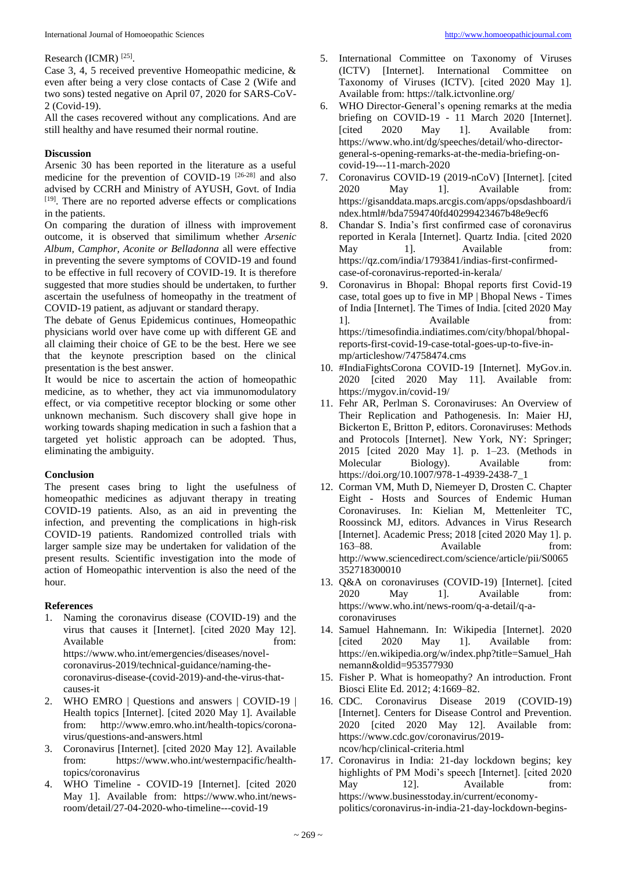#### Research (ICMR)<sup>[25]</sup>.

Case 3, 4, 5 received preventive Homeopathic medicine, & even after being a very close contacts of Case 2 (Wife and two sons) tested negative on April 07, 2020 for SARS-CoV-2 (Covid-19).

All the cases recovered without any complications. And are still healthy and have resumed their normal routine.

## **Discussion**

Arsenic 30 has been reported in the literature as a useful medicine for the prevention of COVID-19<sup>[26-28]</sup> and also advised by CCRH and Ministry of AYUSH, Govt. of India [19]. There are no reported adverse effects or complications in the patients.

On comparing the duration of illness with improvement outcome, it is observed that similimum whether *Arsenic Album, Camphor, Aconite or Belladonna* all were effective in preventing the severe symptoms of COVID-19 and found to be effective in full recovery of COVID-19. It is therefore suggested that more studies should be undertaken, to further ascertain the usefulness of homeopathy in the treatment of COVID-19 patient, as adjuvant or standard therapy.

The debate of Genus Epidemicus continues, Homeopathic physicians world over have come up with different GE and all claiming their choice of GE to be the best. Here we see that the keynote prescription based on the clinical presentation is the best answer.

It would be nice to ascertain the action of homeopathic medicine, as to whether, they act via immunomodulatory effect, or via competitive receptor blocking or some other unknown mechanism. Such discovery shall give hope in working towards shaping medication in such a fashion that a targeted yet holistic approach can be adopted. Thus, eliminating the ambiguity.

# **Conclusion**

The present cases bring to light the usefulness of homeopathic medicines as adjuvant therapy in treating COVID-19 patients. Also, as an aid in preventing the infection, and preventing the complications in high-risk COVID-19 patients. Randomized controlled trials with larger sample size may be undertaken for validation of the present results. Scientific investigation into the mode of action of Homeopathic intervention is also the need of the hour.

# **References**

- 1. Naming the coronavirus disease (COVID-19) and the virus that causes it [Internet]. [cited 2020 May 12]. Available from: https://www.who.int/emergencies/diseases/novelcoronavirus-2019/technical-guidance/naming-thecoronavirus-disease-(covid-2019)-and-the-virus-thatcauses-it
- 2. WHO EMRO | Questions and answers | COVID-19 | Health topics [Internet]. [cited 2020 May 1]. Available from: http://www.emro.who.int/health-topics/coronavirus/questions-and-answers.html
- 3. Coronavirus [Internet]. [cited 2020 May 12]. Available from: https://www.who.int/westernpacific/healthtopics/coronavirus
- 4. WHO Timeline COVID-19 [Internet]. [cited 2020 May 1]. Available from: https://www.who.int/newsroom/detail/27-04-2020-who-timeline---covid-19
- 5. International Committee on Taxonomy of Viruses (ICTV) [Internet]. International Committee on Taxonomy of Viruses (ICTV). [cited 2020 May 1]. Available from: https://talk.ictvonline.org/
- 6. WHO Director-General's opening remarks at the media briefing on COVID-19 - 11 March 2020 [Internet]. [cited 2020 May 1]. Available from: https://www.who.int/dg/speeches/detail/who-directorgeneral-s-opening-remarks-at-the-media-briefing-oncovid-19---11-march-2020
- 7. Coronavirus COVID-19 (2019-nCoV) [Internet]. [cited 2020 May 1]. Available from: https://gisanddata.maps.arcgis.com/apps/opsdashboard/i ndex.html#/bda7594740fd40299423467b48e9ecf6
- 8. Chandar S. India's first confirmed case of coronavirus reported in Kerala [Internet]. Quartz India. [cited 2020 May 1]. Available from: https://qz.com/india/1793841/indias-first-confirmedcase-of-coronavirus-reported-in-kerala/
- 9. Coronavirus in Bhopal: Bhopal reports first Covid-19 case, total goes up to five in MP | Bhopal News - Times of India [Internet]. The Times of India. [cited 2020 May 1]. Available from: https://timesofindia.indiatimes.com/city/bhopal/bhopalreports-first-covid-19-case-total-goes-up-to-five-inmp/articleshow/74758474.cms
- 10. #IndiaFightsCorona COVID-19 [Internet]. MyGov.in. 2020 [cited 2020 May 11]. Available from: https://mygov.in/covid-19/
- 11. Fehr AR, Perlman S. Coronaviruses: An Overview of Their Replication and Pathogenesis. In: Maier HJ, Bickerton E, Britton P, editors. Coronaviruses: Methods and Protocols [Internet]. New York, NY: Springer; 2015 [cited 2020 May 1]. p. 1–23. (Methods in Molecular Biology). Available from: https://doi.org/10.1007/978-1-4939-2438-7\_1
- 12. Corman VM, Muth D, Niemeyer D, Drosten C. Chapter Eight - Hosts and Sources of Endemic Human Coronaviruses. In: Kielian M, Mettenleiter TC, Roossinck MJ, editors. Advances in Virus Research [Internet]. Academic Press; 2018 [cited 2020 May 1]. p. 163–88. Available from: http://www.sciencedirect.com/science/article/pii/S0065 352718300010
- 13. Q&A on coronaviruses (COVID-19) [Internet]. [cited 2020 May 1]. Available from: https://www.who.int/news-room/q-a-detail/q-acoronaviruses
- 14. Samuel Hahnemann. In: Wikipedia [Internet]. 2020 [cited 2020 May 1]. Available from: https://en.wikipedia.org/w/index.php?title=Samuel\_Hah nemann&oldid=953577930
- 15. Fisher P. What is homeopathy? An introduction. Front Biosci Elite Ed. 2012; 4:1669–82.
- 16. CDC. Coronavirus Disease 2019 (COVID-19) [Internet]. Centers for Disease Control and Prevention. 2020 [cited 2020 May 12]. Available from: https://www.cdc.gov/coronavirus/2019 ncov/hcp/clinical-criteria.html
- 17. Coronavirus in India: 21-day lockdown begins; key highlights of PM Modi's speech [Internet]. [cited 2020 May 12]. Available from: https://www.businesstoday.in/current/economypolitics/coronavirus-in-india-21-day-lockdown-begins-